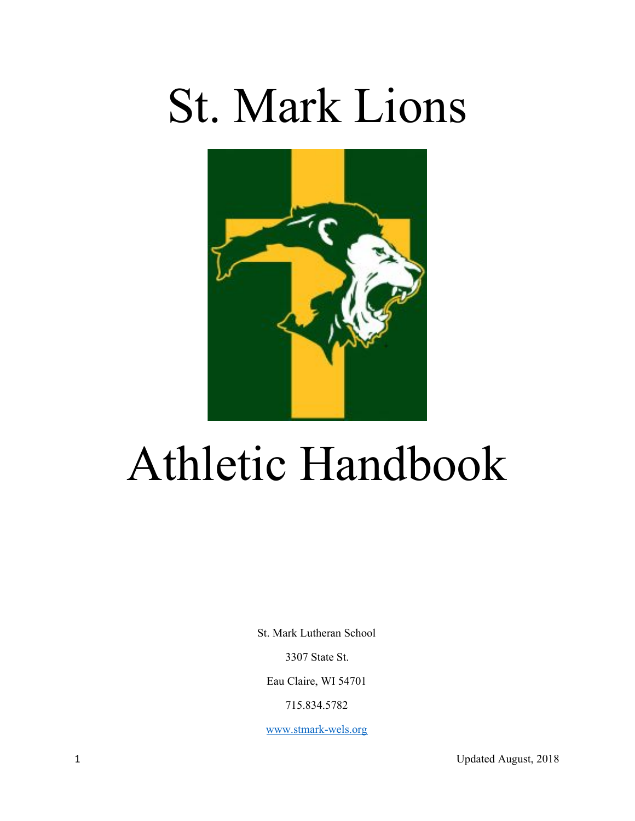# St. Mark Lions



## Athletic Handbook

St. Mark Lutheran School

3307 State St.

Eau Claire, WI 54701

715.834.5782

[www.stmark-wels.org](http://www.stmark-wels.org/)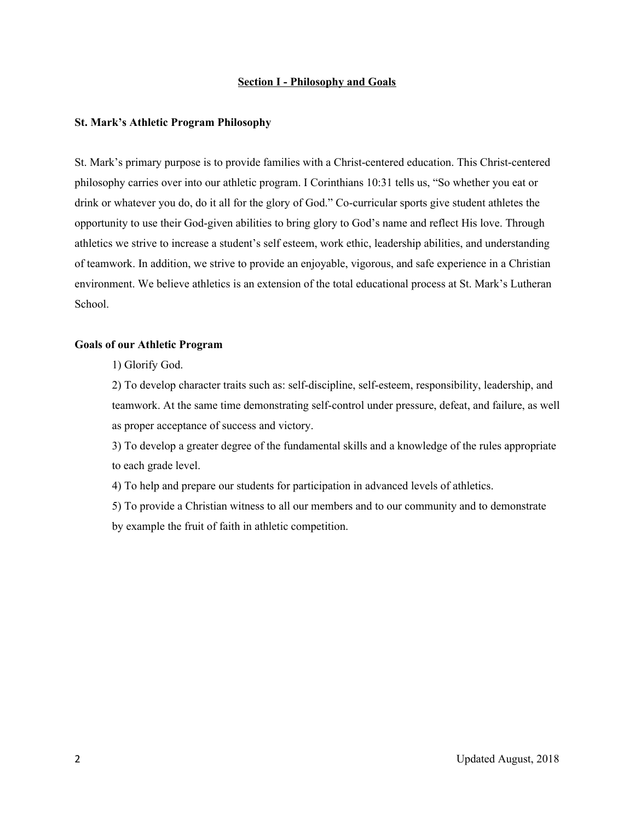#### **Section I - Philosophy and Goals**

#### **St. Mark's Athletic Program Philosophy**

St. Mark's primary purpose is to provide families with a Christ-centered education. This Christ-centered philosophy carries over into our athletic program. I Corinthians 10:31 tells us, "So whether you eat or drink or whatever you do, do it all for the glory of God." Co-curricular sports give student athletes the opportunity to use their God-given abilities to bring glory to God's name and reflect His love. Through athletics we strive to increase a student's self esteem, work ethic, leadership abilities, and understanding of teamwork. In addition, we strive to provide an enjoyable, vigorous, and safe experience in a Christian environment. We believe athletics is an extension of the total educational process at St. Mark's Lutheran School.

#### **Goals of our Athletic Program**

1) Glorify God.

2) To develop character traits such as: self-discipline, self-esteem, responsibility, leadership, and teamwork. At the same time demonstrating self-control under pressure, defeat, and failure, as well as proper acceptance of success and victory.

3) To develop a greater degree of the fundamental skills and a knowledge of the rules appropriate to each grade level.

4) To help and prepare our students for participation in advanced levels of athletics.

5) To provide a Christian witness to all our members and to our community and to demonstrate by example the fruit of faith in athletic competition.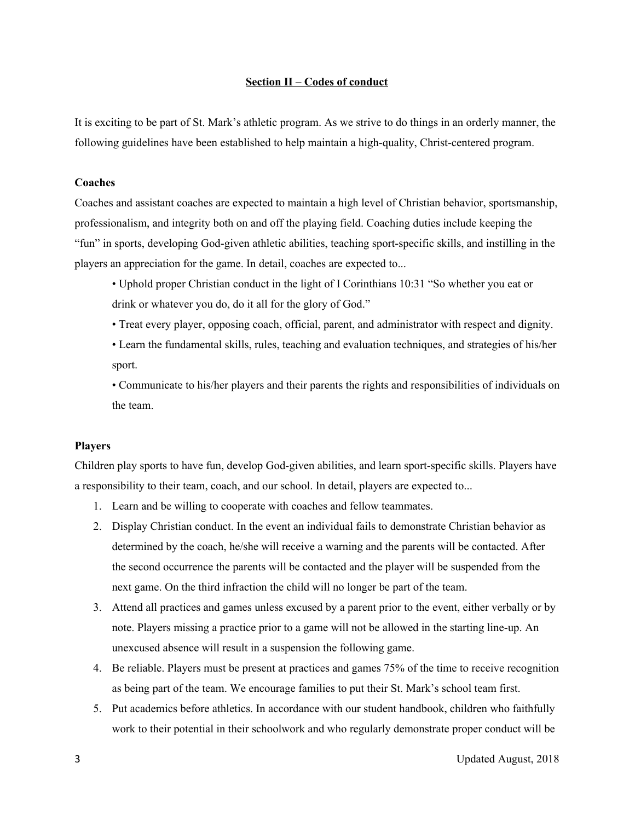#### **Section II – Codes of conduct**

It is exciting to be part of St. Mark's athletic program. As we strive to do things in an orderly manner, the following guidelines have been established to help maintain a high-quality, Christ-centered program.

#### **Coaches**

Coaches and assistant coaches are expected to maintain a high level of Christian behavior, sportsmanship, professionalism, and integrity both on and off the playing field. Coaching duties include keeping the "fun" in sports, developing God-given athletic abilities, teaching sport-specific skills, and instilling in the players an appreciation for the game. In detail, coaches are expected to...

- Uphold proper Christian conduct in the light of I Corinthians 10:31 "So whether you eat or drink or whatever you do, do it all for the glory of God."
- Treat every player, opposing coach, official, parent, and administrator with respect and dignity.
- Learn the fundamental skills, rules, teaching and evaluation techniques, and strategies of his/her sport.
- Communicate to his/her players and their parents the rights and responsibilities of individuals on the team.

#### **Players**

Children play sports to have fun, develop God-given abilities, and learn sport-specific skills. Players have a responsibility to their team, coach, and our school. In detail, players are expected to...

- 1. Learn and be willing to cooperate with coaches and fellow teammates.
- 2. Display Christian conduct. In the event an individual fails to demonstrate Christian behavior as determined by the coach, he/she will receive a warning and the parents will be contacted. After the second occurrence the parents will be contacted and the player will be suspended from the next game. On the third infraction the child will no longer be part of the team.
- 3. Attend all practices and games unless excused by a parent prior to the event, either verbally or by note. Players missing a practice prior to a game will not be allowed in the starting line-up. An unexcused absence will result in a suspension the following game.
- 4. Be reliable. Players must be present at practices and games 75% of the time to receive recognition as being part of the team. We encourage families to put their St. Mark's school team first.
- 5. Put academics before athletics. In accordance with our student handbook, children who faithfully work to their potential in their schoolwork and who regularly demonstrate proper conduct will be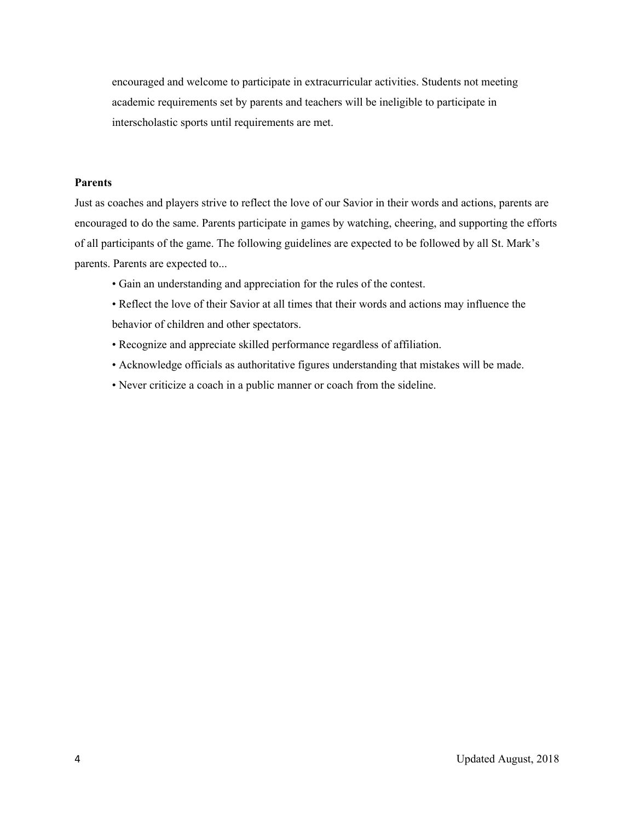encouraged and welcome to participate in extracurricular activities. Students not meeting academic requirements set by parents and teachers will be ineligible to participate in interscholastic sports until requirements are met.

#### **Parents**

Just as coaches and players strive to reflect the love of our Savior in their words and actions, parents are encouraged to do the same. Parents participate in games by watching, cheering, and supporting the efforts of all participants of the game. The following guidelines are expected to be followed by all St. Mark's parents. Parents are expected to...

- Gain an understanding and appreciation for the rules of the contest.
- Reflect the love of their Savior at all times that their words and actions may influence the behavior of children and other spectators.
- Recognize and appreciate skilled performance regardless of affiliation.
- Acknowledge officials as authoritative figures understanding that mistakes will be made.
- Never criticize a coach in a public manner or coach from the sideline.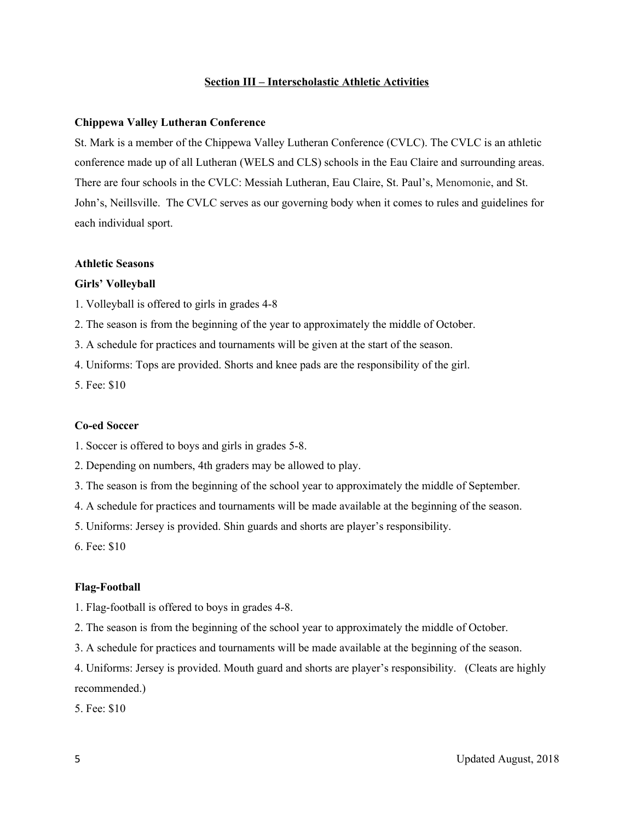#### **Section III – Interscholastic Athletic Activities**

#### **Chippewa Valley Lutheran Conference**

St. Mark is a member of the Chippewa Valley Lutheran Conference (CVLC). The CVLC is an athletic conference made up of all Lutheran (WELS and CLS) schools in the Eau Claire and surrounding areas. There are four schools in the CVLC: Messiah Lutheran, Eau Claire, St. Paul's, Menomonie, and St. John's, Neillsville. The CVLC serves as our governing body when it comes to rules and guidelines for each individual sport.

#### **Athletic Seasons**

#### **Girls' Volleyball**

1. Volleyball is offered to girls in grades 4-8

2. The season is from the beginning of the year to approximately the middle of October.

3. A schedule for practices and tournaments will be given at the start of the season.

4. Uniforms: Tops are provided. Shorts and knee pads are the responsibility of the girl.

5. Fee: \$10

#### **Co-ed Soccer**

1. Soccer is offered to boys and girls in grades 5-8.

2. Depending on numbers, 4th graders may be allowed to play.

3. The season is from the beginning of the school year to approximately the middle of September.

4. A schedule for practices and tournaments will be made available at the beginning of the season.

5. Uniforms: Jersey is provided. Shin guards and shorts are player's responsibility.

6. Fee: \$10

#### **Flag-Football**

1. Flag-football is offered to boys in grades 4-8.

2. The season is from the beginning of the school year to approximately the middle of October.

3. A schedule for practices and tournaments will be made available at the beginning of the season.

4. Uniforms: Jersey is provided. Mouth guard and shorts are player's responsibility. (Cleats are highly recommended.)

5. Fee: \$10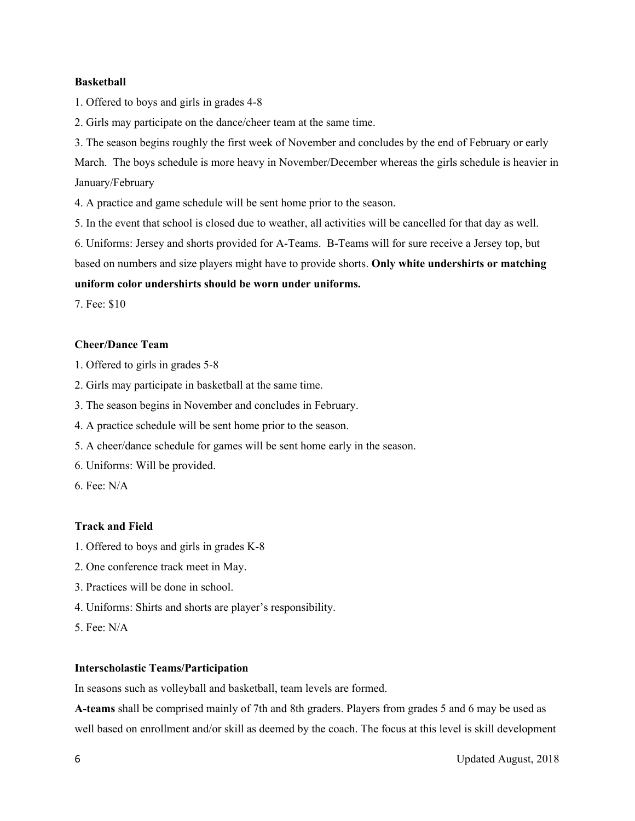#### **Basketball**

1. Offered to boys and girls in grades 4-8

2. Girls may participate on the dance/cheer team at the same time.

3. The season begins roughly the first week of November and concludes by the end of February or early March. The boys schedule is more heavy in November/December whereas the girls schedule is heavier in January/February

4. A practice and game schedule will be sent home prior to the season.

5. In the event that school is closed due to weather, all activities will be cancelled for that day as well.

6. Uniforms: Jersey and shorts provided for A-Teams. B-Teams will for sure receive a Jersey top, but

based on numbers and size players might have to provide shorts. **Only white undershirts or matching**

#### **uniform color undershirts should be worn under uniforms.**

7. Fee: \$10

#### **Cheer/Dance Team**

1. Offered to girls in grades 5-8

2. Girls may participate in basketball at the same time.

3. The season begins in November and concludes in February.

4. A practice schedule will be sent home prior to the season.

5. A cheer/dance schedule for games will be sent home early in the season.

6. Uniforms: Will be provided.

6. Fee: N/A

#### **Track and Field**

- 1. Offered to boys and girls in grades K-8
- 2. One conference track meet in May.
- 3. Practices will be done in school.
- 4. Uniforms: Shirts and shorts are player's responsibility.
- 5. Fee: N/A

#### **Interscholastic Teams/Participation**

In seasons such as volleyball and basketball, team levels are formed.

**A-teams** shall be comprised mainly of 7th and 8th graders. Players from grades 5 and 6 may be used as well based on enrollment and/or skill as deemed by the coach. The focus at this level is skill development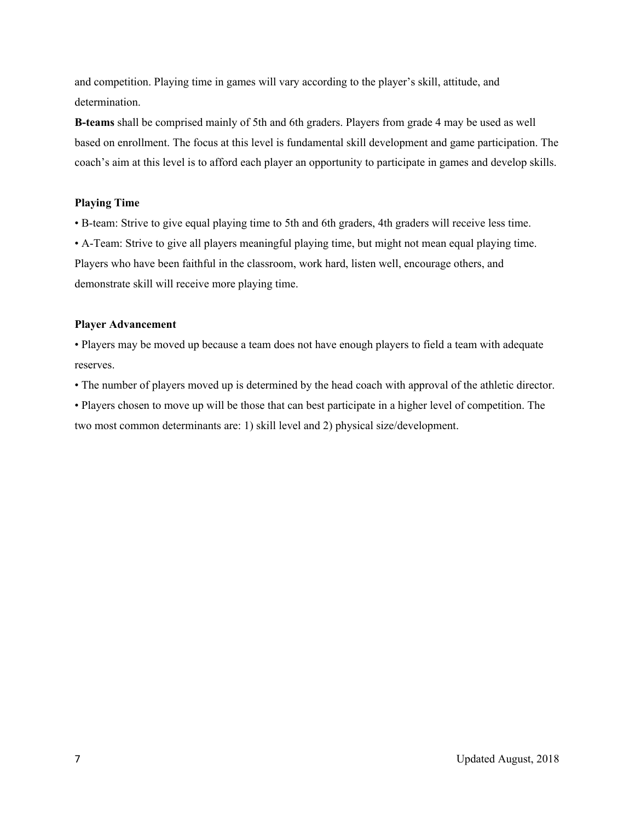and competition. Playing time in games will vary according to the player's skill, attitude, and determination.

**B-teams** shall be comprised mainly of 5th and 6th graders. Players from grade 4 may be used as well based on enrollment. The focus at this level is fundamental skill development and game participation. The coach's aim at this level is to afford each player an opportunity to participate in games and develop skills.

#### **Playing Time**

• B-team: Strive to give equal playing time to 5th and 6th graders, 4th graders will receive less time. • A-Team: Strive to give all players meaningful playing time, but might not mean equal playing time. Players who have been faithful in the classroom, work hard, listen well, encourage others, and demonstrate skill will receive more playing time.

#### **Player Advancement**

• Players may be moved up because a team does not have enough players to field a team with adequate reserves.

• The number of players moved up is determined by the head coach with approval of the athletic director.

• Players chosen to move up will be those that can best participate in a higher level of competition. The two most common determinants are: 1) skill level and 2) physical size/development.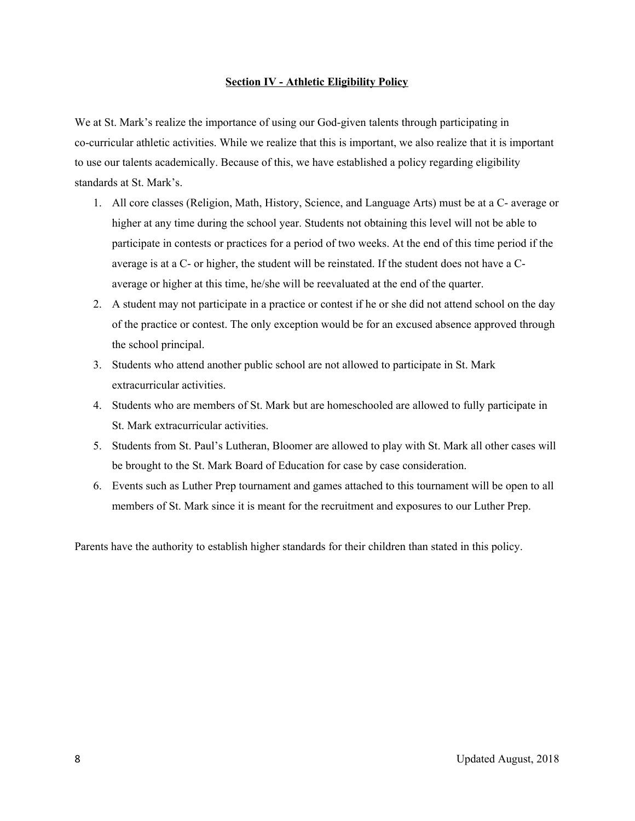#### **Section IV - Athletic Eligibility Policy**

We at St. Mark's realize the importance of using our God-given talents through participating in co-curricular athletic activities. While we realize that this is important, we also realize that it is important to use our talents academically. Because of this, we have established a policy regarding eligibility standards at St. Mark's.

- 1. All core classes (Religion, Math, History, Science, and Language Arts) must be at a C- average or higher at any time during the school year. Students not obtaining this level will not be able to participate in contests or practices for a period of two weeks. At the end of this time period if the average is at a C- or higher, the student will be reinstated. If the student does not have a Caverage or higher at this time, he/she will be reevaluated at the end of the quarter.
- 2. A student may not participate in a practice or contest if he or she did not attend school on the day of the practice or contest. The only exception would be for an excused absence approved through the school principal.
- 3. Students who attend another public school are not allowed to participate in St. Mark extracurricular activities.
- 4. Students who are members of St. Mark but are homeschooled are allowed to fully participate in St. Mark extracurricular activities.
- 5. Students from St. Paul's Lutheran, Bloomer are allowed to play with St. Mark all other cases will be brought to the St. Mark Board of Education for case by case consideration.
- 6. Events such as Luther Prep tournament and games attached to this tournament will be open to all members of St. Mark since it is meant for the recruitment and exposures to our Luther Prep.

Parents have the authority to establish higher standards for their children than stated in this policy.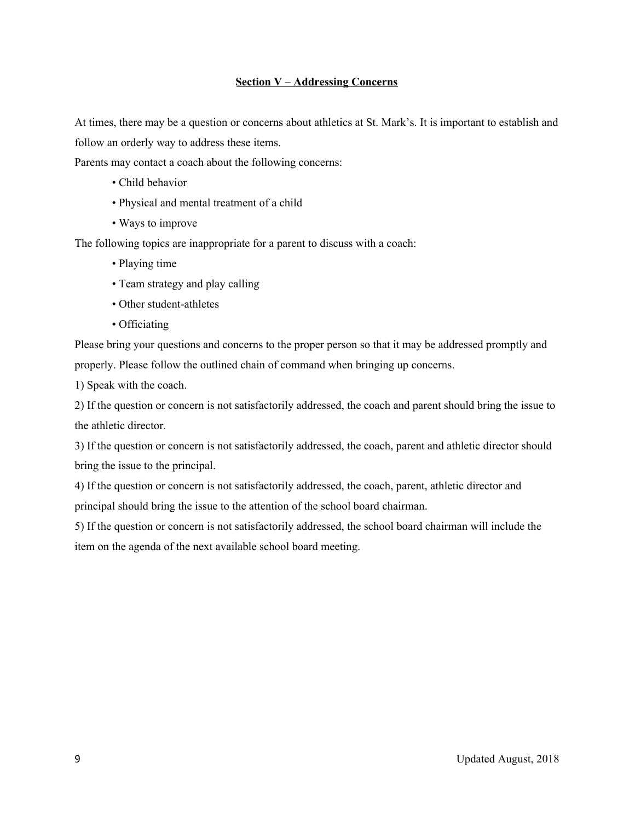#### **Section V – Addressing Concerns**

At times, there may be a question or concerns about athletics at St. Mark's. It is important to establish and follow an orderly way to address these items.

Parents may contact a coach about the following concerns:

- Child behavior
- Physical and mental treatment of a child
- Ways to improve

The following topics are inappropriate for a parent to discuss with a coach:

- Playing time
- Team strategy and play calling
- Other student-athletes
- Officiating

Please bring your questions and concerns to the proper person so that it may be addressed promptly and properly. Please follow the outlined chain of command when bringing up concerns.

1) Speak with the coach.

2) If the question or concern is not satisfactorily addressed, the coach and parent should bring the issue to the athletic director.

3) If the question or concern is not satisfactorily addressed, the coach, parent and athletic director should bring the issue to the principal.

4) If the question or concern is not satisfactorily addressed, the coach, parent, athletic director and principal should bring the issue to the attention of the school board chairman.

5) If the question or concern is not satisfactorily addressed, the school board chairman will include the item on the agenda of the next available school board meeting.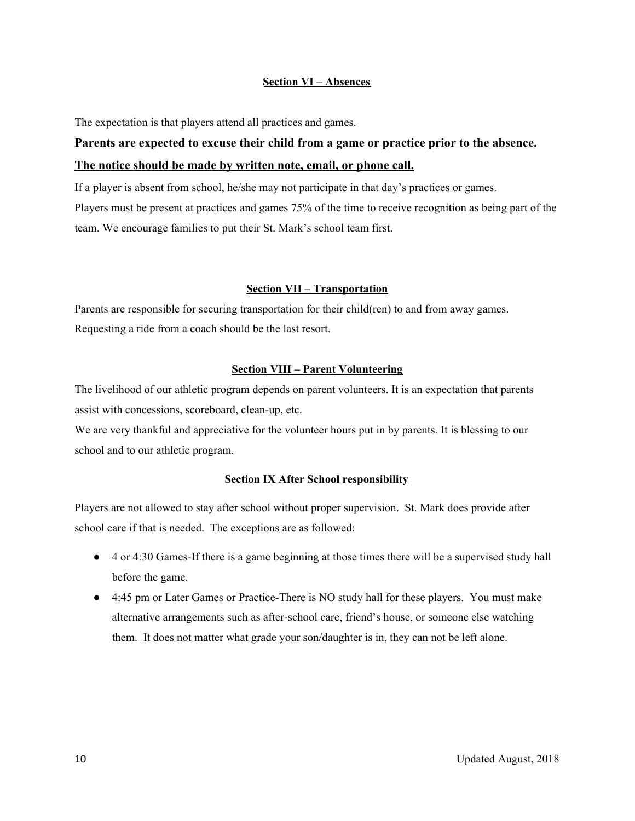#### **Section VI – Absences**

The expectation is that players attend all practices and games.

### **Parents are expected to excuse their child from a game or practice prior to the absence. The notice should be made by written note, email, or phone call.**

If a player is absent from school, he/she may not participate in that day's practices or games. Players must be present at practices and games 75% of the time to receive recognition as being part of the team. We encourage families to put their St. Mark's school team first.

#### **Section VII – Transportation**

Parents are responsible for securing transportation for their child(ren) to and from away games. Requesting a ride from a coach should be the last resort.

#### **Section VIII – Parent Volunteering**

The livelihood of our athletic program depends on parent volunteers. It is an expectation that parents assist with concessions, scoreboard, clean-up, etc.

We are very thankful and appreciative for the volunteer hours put in by parents. It is blessing to our school and to our athletic program.

#### **Section IX After School responsibility**

Players are not allowed to stay after school without proper supervision. St. Mark does provide after school care if that is needed. The exceptions are as followed:

- 4 or 4:30 Games-If there is a game beginning at those times there will be a supervised study hall before the game.
- 4:45 pm or Later Games or Practice-There is NO study hall for these players. You must make alternative arrangements such as after-school care, friend's house, or someone else watching them. It does not matter what grade your son/daughter is in, they can not be left alone.